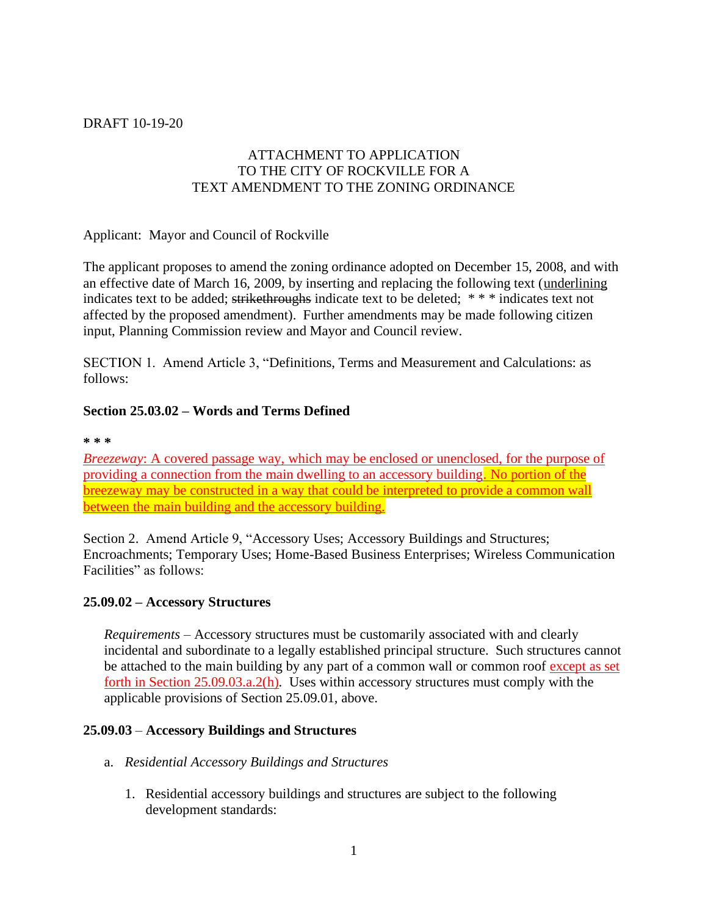#### DRAFT 10-19-20

## ATTACHMENT TO APPLICATION TO THE CITY OF ROCKVILLE FOR A TEXT AMENDMENT TO THE ZONING ORDINANCE

Applicant: Mayor and Council of Rockville

The applicant proposes to amend the zoning ordinance adopted on December 15, 2008, and with an effective date of March 16, 2009, by inserting and replacing the following text (underlining indicates text to be added; strikethroughs indicate text to be deleted; \* \* \* indicates text not affected by the proposed amendment). Further amendments may be made following citizen input, Planning Commission review and Mayor and Council review.

SECTION 1. Amend Article 3, "Definitions, Terms and Measurement and Calculations: as follows:

### **Section 25.03.02 – Words and Terms Defined**

**\* \* \*** 

*Breezeway*: A covered passage way, which may be enclosed or unenclosed, for the purpose of providing a connection from the main dwelling to an accessory building. No portion of the breezeway may be constructed in a way that could be interpreted to provide a common wall between the main building and the accessory building.

Section 2. Amend Article 9, "Accessory Uses; Accessory Buildings and Structures; Encroachments; Temporary Uses; Home-Based Business Enterprises; Wireless Communication Facilities" as follows:

#### **25.09.02 – Accessory Structures**

*Requirements* – Accessory structures must be customarily associated with and clearly incidental and subordinate to a legally established principal structure. Such structures cannot be attached to the main building by any part of a common wall or common roof except as set forth in Section 25.09.03.a.2(h). Uses within accessory structures must comply with the applicable provisions of Section 25.09.01, above.

#### **25.09.03** – **Accessory Buildings and Structures**

- a. *Residential Accessory Buildings and Structures*
	- 1. Residential accessory buildings and structures are subject to the following development standards: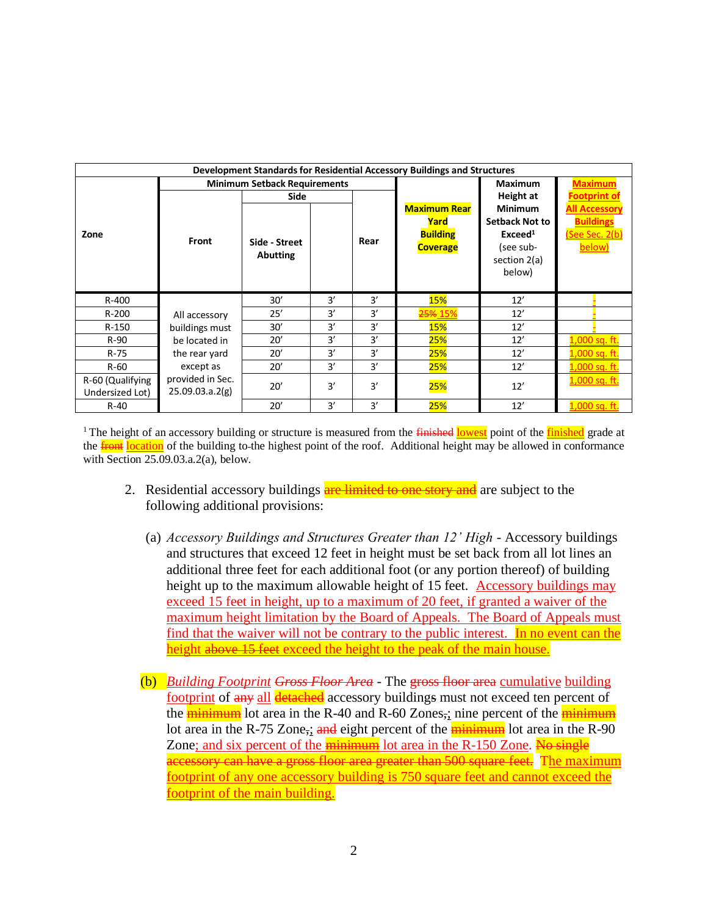| Development Standards for Residential Accessory Buildings and Structures |                                                                                                                       |                 |    |      |                     |                        |                      |
|--------------------------------------------------------------------------|-----------------------------------------------------------------------------------------------------------------------|-----------------|----|------|---------------------|------------------------|----------------------|
|                                                                          | <b>Minimum Setback Requirements</b>                                                                                   |                 |    |      |                     | <b>Maximum</b>         | <b>Maximum</b>       |
|                                                                          |                                                                                                                       | Side            |    |      |                     | Height at              | <b>Footprint of</b>  |
|                                                                          |                                                                                                                       |                 |    |      | <b>Maximum Rear</b> | <b>Minimum</b>         | <b>All Accessory</b> |
|                                                                          |                                                                                                                       |                 |    |      | Yard                | <b>Setback Not to</b>  | <b>Buildings</b>     |
| Zone                                                                     | <b>Front</b>                                                                                                          | Side - Street   |    | Rear | <b>Building</b>     | Exceed <sup>1</sup>    | (See Sec. 2(b)       |
|                                                                          |                                                                                                                       | <b>Abutting</b> |    |      | <b>Coverage</b>     | (see sub-              | below)               |
|                                                                          |                                                                                                                       |                 |    |      |                     | section 2(a)<br>below) |                      |
|                                                                          |                                                                                                                       |                 |    |      |                     |                        |                      |
| R-400                                                                    | All accessory<br>buildings must<br>be located in<br>the rear yard<br>except as<br>provided in Sec.<br>25.09.03.a.2(g) | 30'             | 3' | 3′   | <b>15%</b>          | 12'                    |                      |
| R-200                                                                    |                                                                                                                       | 25'             | 3' | 3′   | <del>25%</del> 15%  | 12'                    |                      |
| R-150                                                                    |                                                                                                                       | 30'             | 3' | 3'   | <b>15%</b>          | 12'                    |                      |
| $R-90$                                                                   |                                                                                                                       | 20'             | 3' | 3'   | 25%                 | 12'                    | 1,000 sq. ft.        |
| $R-75$                                                                   |                                                                                                                       | 20'             | 3' | 3'   | 25%                 | 12'                    | $1,000$ sq. ft.      |
| $R-60$                                                                   |                                                                                                                       | 20'             | 3' | 3'   | 25%                 | 12'                    | 1,000 sq. ft.        |
| R-60 (Qualifying                                                         |                                                                                                                       | 20'             | 3' | 3'   | <b>25%</b>          | 12'                    | 1,000 sq. ft.        |
| Undersized Lot)                                                          |                                                                                                                       |                 |    |      |                     |                        |                      |
| $R-40$                                                                   |                                                                                                                       | 20'             | 3' | 3'   | 25%                 | 12'                    | 1,000 sq. ft.        |

<sup>1</sup>The height of an accessory building or structure is measured from the *finished* lowest point of the *finished* grade at the **front** location of the building to-the highest point of the roof. Additional height may be allowed in conformance with Section 25.09.03.a.2(a), below.

- 2. Residential accessory buildings are limited to one story and are subject to the following additional provisions:
	- (a) *Accessory Buildings and Structures Greater than 12' High* Accessory buildings and structures that exceed 12 feet in height must be set back from all lot lines an additional three feet for each additional foot (or any portion thereof) of building height up to the maximum allowable height of 15 feet. Accessory buildings may exceed 15 feet in height, up to a maximum of 20 feet, if granted a waiver of the maximum height limitation by the Board of Appeals. The Board of Appeals must find that the waiver will not be contrary to the public interest. In no event can the height above 15 feet exceed the height to the peak of the main house.
	- (b) *Building Footprint Gross Floor Area* The gross floor area cumulative building footprint of any all detached accessory buildings must not exceed ten percent of the  $\frac{1}{\text{minimum}}$  lot area in the R-40 and R-60 Zones, nine percent of the  $\frac{1}{\text{minimum}}$ lot area in the R-75 Zone,; and eight percent of the  $\frac{1}{\text{minimum}}$  lot area in the R-90 Zone; and six percent of the **minimum** lot area in the R-150 Zone. No single accessory can have a gross floor area greater than 500 square feet. The maximum footprint of any one accessory building is 750 square feet and cannot exceed the footprint of the main building.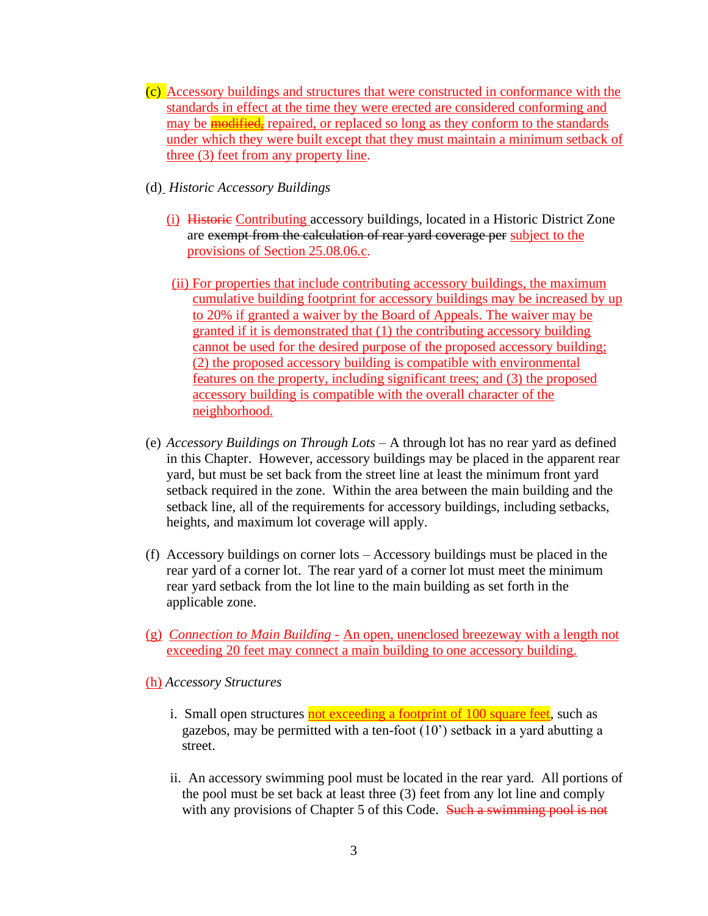- (c) Accessory buildings and structures that were constructed in conformance with the standards in effect at the time they were erected are considered conforming and may be **modified**, repaired, or replaced so long as they conform to the standards under which they were built except that they must maintain a minimum setback of three (3) feet from any property line.
- (d) *Historic Accessory Buildings*
	- (i) Historic Contributing accessory buildings, located in a Historic District Zone are exempt from the calculation of rear yard coverage per subject to the provisions of Section 25.08.06.c.
	- (ii) For properties that include contributing accessory buildings, the maximum cumulative building footprint for accessory buildings may be increased by up to 20% if granted a waiver by the Board of Appeals. The waiver may be granted if it is demonstrated that (1) the contributing accessory building cannot be used for the desired purpose of the proposed accessory building; (2) the proposed accessory building is compatible with environmental features on the property, including significant trees; and (3) the proposed accessory building is compatible with the overall character of the neighborhood.
- (e) *Accessory Buildings on Through Lots –* A through lot has no rear yard as defined in this Chapter. However, accessory buildings may be placed in the apparent rear yard, but must be set back from the street line at least the minimum front yard setback required in the zone. Within the area between the main building and the setback line, all of the requirements for accessory buildings, including setbacks, heights, and maximum lot coverage will apply.
- (f) Accessory buildings on corner lots Accessory buildings must be placed in the rear yard of a corner lot. The rear yard of a corner lot must meet the minimum rear yard setback from the lot line to the main building as set forth in the applicable zone.
- (g) *Connection to Main Building -* An open, unenclosed breezeway with a length not exceeding 20 feet may connect a main building to one accessory building.
- (h) *Accessory Structures*
	- i. Small open structures not exceeding a footprint of 100 square feet, such as gazebos, may be permitted with a ten-foot (10') setback in a yard abutting a street.
	- ii. An accessory swimming pool must be located in the rear yard. All portions of the pool must be set back at least three (3) feet from any lot line and comply with any provisions of Chapter 5 of this Code. Such a swimming pool is not